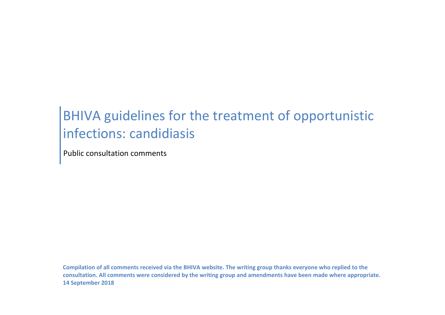# BHIVA guidelines for the treatment of opportunistic infections: candidiasis

Public consultation comments

**Compilation of all comments received via the BHIVA website. The writing group thanks everyone who replied to the consultation. All comments were considered by the writing group and amendments have been made where appropriate. 14 September 2018**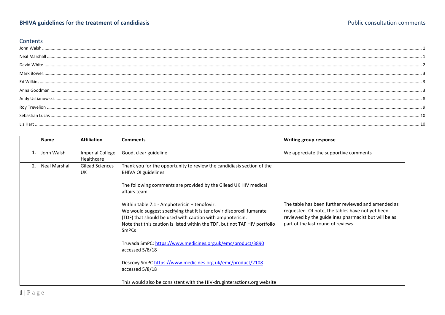#### Contents

<span id="page-1-1"></span><span id="page-1-0"></span>

|                | <b>Name</b>          | <b>Affiliation</b>                    | <b>Comments</b>                                                                                                                                                                                                                                                                 | Writing group response                                                                                                                                                                              |
|----------------|----------------------|---------------------------------------|---------------------------------------------------------------------------------------------------------------------------------------------------------------------------------------------------------------------------------------------------------------------------------|-----------------------------------------------------------------------------------------------------------------------------------------------------------------------------------------------------|
|                | John Walsh           | <b>Imperial College</b><br>Healthcare | Good, clear guideline                                                                                                                                                                                                                                                           | We appreciate the supportive comments                                                                                                                                                               |
| $\overline{2}$ | <b>Neal Marshall</b> | Gilead Sciences<br>UK                 | Thank you for the opportunity to review the candidiasis section of the<br><b>BHIVA OI guidelines</b>                                                                                                                                                                            |                                                                                                                                                                                                     |
|                |                      |                                       | The following comments are provided by the Gilead UK HIV medical<br>affairs team                                                                                                                                                                                                |                                                                                                                                                                                                     |
|                |                      |                                       | Within table 7.1 - Amphotericin + tenofovir:<br>We would suggest specifying that it is tenofovir disoproxil fumarate<br>(TDF) that should be used with caution with amphotericin.<br>Note that this caution is listed within the TDF, but not TAF HIV portfolio<br><b>SmPCs</b> | The table has been further reviewed and amended as<br>requested. Of note, the tables have not yet been<br>reviewed by the guidelines pharmacist but will be as<br>part of the last round of reviews |
|                |                      |                                       | Truvada SmPC: https://www.medicines.org.uk/emc/product/3890<br>accessed 5/8/18                                                                                                                                                                                                  |                                                                                                                                                                                                     |
|                |                      |                                       | Descovy SmPC https://www.medicines.org.uk/emc/product/2108<br>accessed 5/8/18                                                                                                                                                                                                   |                                                                                                                                                                                                     |
|                |                      |                                       | This would also be consistent with the HIV-druginteractions.org website                                                                                                                                                                                                         |                                                                                                                                                                                                     |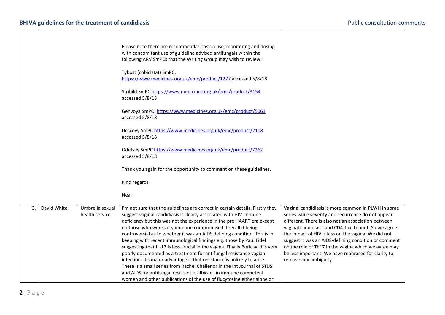<span id="page-2-0"></span>

|    |             |                                   | Please note there are recommendations on use, monitoring and dosing<br>with concomitant use of guideline advised antifungals within the<br>following ARV SmPCs that the Writing Group may wish to review:                                                                                                                                                                                                                                                                                                                                                                                                                                                                                                                                                                                                                                                                                                       |                                                                                                                                                                                                                                                                                                                                                                                                                                                                                |
|----|-------------|-----------------------------------|-----------------------------------------------------------------------------------------------------------------------------------------------------------------------------------------------------------------------------------------------------------------------------------------------------------------------------------------------------------------------------------------------------------------------------------------------------------------------------------------------------------------------------------------------------------------------------------------------------------------------------------------------------------------------------------------------------------------------------------------------------------------------------------------------------------------------------------------------------------------------------------------------------------------|--------------------------------------------------------------------------------------------------------------------------------------------------------------------------------------------------------------------------------------------------------------------------------------------------------------------------------------------------------------------------------------------------------------------------------------------------------------------------------|
|    |             |                                   | Tybost (cobicistat) SmPC:<br>https://www.medicines.org.uk/emc/product/1277 accessed 5/8/18                                                                                                                                                                                                                                                                                                                                                                                                                                                                                                                                                                                                                                                                                                                                                                                                                      |                                                                                                                                                                                                                                                                                                                                                                                                                                                                                |
|    |             |                                   | Stribild SmPC https://www.medicines.org.uk/emc/product/3154<br>accessed 5/8/18                                                                                                                                                                                                                                                                                                                                                                                                                                                                                                                                                                                                                                                                                                                                                                                                                                  |                                                                                                                                                                                                                                                                                                                                                                                                                                                                                |
|    |             |                                   | Genvoya SmPC: https://www.medicines.org.uk/emc/product/5063<br>accessed 5/8/18                                                                                                                                                                                                                                                                                                                                                                                                                                                                                                                                                                                                                                                                                                                                                                                                                                  |                                                                                                                                                                                                                                                                                                                                                                                                                                                                                |
|    |             |                                   | Descovy SmPC https://www.medicines.org.uk/emc/product/2108<br>accessed 5/8/18                                                                                                                                                                                                                                                                                                                                                                                                                                                                                                                                                                                                                                                                                                                                                                                                                                   |                                                                                                                                                                                                                                                                                                                                                                                                                                                                                |
|    |             |                                   | Odefsey SmPC https://www.medicines.org.uk/emc/product/7262<br>accessed 5/8/18                                                                                                                                                                                                                                                                                                                                                                                                                                                                                                                                                                                                                                                                                                                                                                                                                                   |                                                                                                                                                                                                                                                                                                                                                                                                                                                                                |
|    |             |                                   | Thank you again for the opportunity to comment on these guidelines.                                                                                                                                                                                                                                                                                                                                                                                                                                                                                                                                                                                                                                                                                                                                                                                                                                             |                                                                                                                                                                                                                                                                                                                                                                                                                                                                                |
|    |             |                                   | Kind regards                                                                                                                                                                                                                                                                                                                                                                                                                                                                                                                                                                                                                                                                                                                                                                                                                                                                                                    |                                                                                                                                                                                                                                                                                                                                                                                                                                                                                |
|    |             |                                   | Neal                                                                                                                                                                                                                                                                                                                                                                                                                                                                                                                                                                                                                                                                                                                                                                                                                                                                                                            |                                                                                                                                                                                                                                                                                                                                                                                                                                                                                |
| 3. | David White | Umbrella sexual<br>health service | I'm not sure that the guidelines are correct in certain details. Firstly they<br>suggest vaginal candidiasis is clearly associated with HIV immune<br>deficiency but this was not the experience in the pre HAART era except<br>on those who were very immune compromised. I recall it being<br>controversial as to whether it was an AIDS defining condition. This is in<br>keeping with recent immunological findings e.g. those by Paul Fidel<br>suggesting that IL-17 is less crucial in the vagina. Finally Boric acid is very<br>poorly documented as a treatment for antifungal resistance vagian<br>infection. It's major advantage is that resistance is unlikely to arise.<br>There is a small series from Rachel Challenor in the Int Journal of STDS<br>and AIDS for antifungal resistant c. albicans in immune competent<br>women and other publications of the use of flucytosine either alone or | Vaginal candidiasis is more common in PLWH in some<br>series while severity and recurrence do not appear<br>different. There is also not an association between<br>vaginal candidiasis and CD4 T cell count. So we agree<br>the impact of HIV is less on the vagina. We did not<br>suggest it was an AIDS-defining condition or comment<br>on the role of Th17 in the vagina which we agree may<br>be less important. We have rephrased for clarity to<br>remove any ambiguity |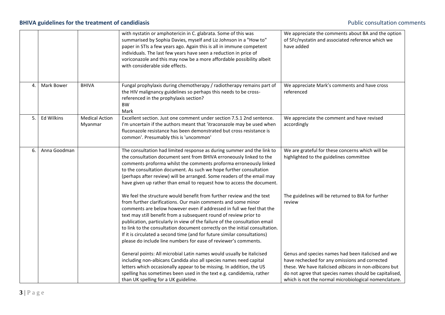### **BHIVA guidelines for the treatment of candidiasis All and the set of candidiasis** Public consultation comments

<span id="page-3-2"></span><span id="page-3-1"></span><span id="page-3-0"></span>

|    |              |                                  | with nystatin or amphotericin in C. glabrata. Some of this was<br>summarised by Sophia Davies, myself and Liz Johnson in a "How to"<br>paper in STIs a few years ago. Again this is all in immune competent<br>individuals. The last few years have seen a reduction in price of<br>voriconazole and this may now be a more affordable possibility albeit<br>with considerable side effects.                                                                                                                                                                                                    | We appreciate the comments about BA and the option<br>of 5Fc/nystatin and associated reference which we<br>have added                                                                                                                                                             |
|----|--------------|----------------------------------|-------------------------------------------------------------------------------------------------------------------------------------------------------------------------------------------------------------------------------------------------------------------------------------------------------------------------------------------------------------------------------------------------------------------------------------------------------------------------------------------------------------------------------------------------------------------------------------------------|-----------------------------------------------------------------------------------------------------------------------------------------------------------------------------------------------------------------------------------------------------------------------------------|
| 4. | Mark Bower   | <b>BHIVA</b>                     | Fungal prophylaxis during chemotherapy / radiotherapy remains part of<br>the HIV malignancy guidelines so perhaps this needs to be cross-<br>referenced in the prophylaxis section?<br><b>BW</b><br>Mark                                                                                                                                                                                                                                                                                                                                                                                        | We appreciate Mark's comments and have cross<br>referenced                                                                                                                                                                                                                        |
| 5. | Ed Wilkins   | <b>Medical Action</b><br>Myanmar | Excellent section. Just one comment under section 7.5.1 2nd sentence.<br>I'm uncertain if the authors meant that 'itraconazole may be used when<br>fluconazole resistance has been demonstrated but cross resistance is<br>common'. Presumably this is 'uncommon'                                                                                                                                                                                                                                                                                                                               | We appreciate the comment and have revised<br>accordingly                                                                                                                                                                                                                         |
| 6. | Anna Goodman |                                  | The consultation had limited response as during summer and the link to<br>the consultation document sent from BHIVA erroneously linked to the<br>comments proforma whilst the comments proforma erroneously linked<br>to the consultation document. As such we hope further consultation<br>(perhaps after review) will be arranged. Some readers of the email may<br>have given up rather than email to request how to access the document.                                                                                                                                                    | We are grateful for these concerns which will be<br>highlighted to the guidelines committee                                                                                                                                                                                       |
|    |              |                                  | We feel the structure would benefit from further review and the text<br>from further clarifications. Our main comments and some minor<br>comments are below however even if addressed in full we feel that the<br>text may still benefit from a subsequent round of review prior to<br>publication, particularly in view of the failure of the consultation email<br>to link to the consultation document correctly on the initial consultation.<br>If it is circulated a second time (and for future similar consultations)<br>please do include line numbers for ease of reviewer's comments. | The guidelines will be returned to BIA for further<br>review                                                                                                                                                                                                                      |
|    |              |                                  | General points: All microbial Latin names would usually be italicised<br>including non-albicans Candida also all species names need capital<br>letters which occasionally appear to be missing. In addition, the US<br>spelling has sometimes been used in the text e.g. candidemia, rather<br>than UK spelling for a UK guideline.                                                                                                                                                                                                                                                             | Genus and species names had been italicised and we<br>have rechecked for any omissions and corrected<br>these. We have italicised albicans in non-albicans but<br>do not agree that species names should be capitalised,<br>which is not the normal microbiological nomenclature. |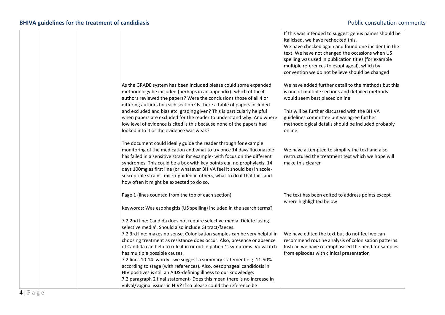|  |                                                                                                                                                                                                                                                                                                                                                                                                                                                                                                                                                                                                                                          | If this was intended to suggest genus names should be<br>italicised, we have rechecked this.<br>We have checked again and found one incident in the<br>text. We have not changed the occasions when US<br>spelling was used in publication titles (for example<br>multiple references to esophageal), which by<br>convention we do not believe should be changed |
|--|------------------------------------------------------------------------------------------------------------------------------------------------------------------------------------------------------------------------------------------------------------------------------------------------------------------------------------------------------------------------------------------------------------------------------------------------------------------------------------------------------------------------------------------------------------------------------------------------------------------------------------------|------------------------------------------------------------------------------------------------------------------------------------------------------------------------------------------------------------------------------------------------------------------------------------------------------------------------------------------------------------------|
|  | As the GRADE system has been included please could some expanded<br>methodology be included (perhaps in an appendix)- which of the 4<br>authors reviewed the papers? Were the conclusions those of all 4 or<br>differing authors for each section? Is there a table of papers included<br>and excluded and bias etc. grading given? This is particularly helpful<br>when papers are excluded for the reader to understand why. And where                                                                                                                                                                                                 | We have added further detail to the methods but this<br>is one of multiple sections and detailed methods<br>would seem best placed online<br>This will be further discussed with the BHIVA<br>guidelines committee but we agree further                                                                                                                          |
|  | low level of evidence is cited is this because none of the papers had<br>looked into it or the evidence was weak?                                                                                                                                                                                                                                                                                                                                                                                                                                                                                                                        | methodological details should be included probably<br>online                                                                                                                                                                                                                                                                                                     |
|  | The document could ideally guide the reader through for example<br>monitoring of the medication and what to try once 14 days fluconazole<br>has failed in a sensitive strain for example- with focus on the different<br>syndromes. This could be a box with key points e.g. no prophylaxis, 14<br>days 100mg as first line (or whatever BHIVA feel it should be) in azole-<br>susceptible strains, micro-guided in others, what to do if that fails and<br>how often it might be expected to do so.                                                                                                                                     | We have attempted to simplify the text and also<br>restructured the treatment text which we hope will<br>make this clearer                                                                                                                                                                                                                                       |
|  | Page 1 (lines counted from the top of each section)                                                                                                                                                                                                                                                                                                                                                                                                                                                                                                                                                                                      | The text has been edited to address points except<br>where highlighted below                                                                                                                                                                                                                                                                                     |
|  | Keywords: Was esophagitis (US spelling) included in the search terms?<br>7.2 2nd line: Candida does not require selective media. Delete 'using<br>selective media'. Should also include GI tract/faeces.                                                                                                                                                                                                                                                                                                                                                                                                                                 |                                                                                                                                                                                                                                                                                                                                                                  |
|  | 7.2 3rd line: makes no sense. Colonisation samples can be very helpful in<br>choosing treatment as resistance does occur. Also, presence or absence<br>of Candida can help to rule it in or out in patient's symptoms. Vulval itch<br>has multiple possible causes.<br>7.2 lines 10-14: wordy - we suggest a summary statement e.g. 11-50%<br>according to stage (with references). Also, oesophageal candidosis in<br>HIV positives is still an AIDS-defining illness to our knowledge.<br>7.2 paragraph 2 final statement- Does this mean there is no increase in<br>vulval/vaginal issues in HIV? If so please could the reference be | We have edited the text but do not feel we can<br>recommend routine analysis of colonisation patterns.<br>Instead we have re-emphasised the need for samples<br>from episodes with clinical presentation                                                                                                                                                         |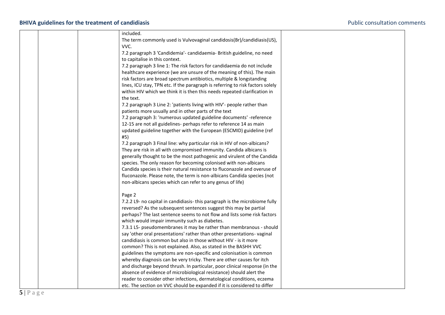## **BHIVA guidelines for the treatment of candidiasis All and Secure 2012 12:30 Secure 2013** Public consultation comments

| included.                                                                                                                                  |
|--------------------------------------------------------------------------------------------------------------------------------------------|
| The term commonly used is Vulvovaginal candidosis(Br)/candidiasis(US),                                                                     |
| VVC.                                                                                                                                       |
| 7.2 paragraph 3 'Candidemia'- candidaemia- British guideline, no need                                                                      |
| to capitalise in this context.                                                                                                             |
| 7.2 paragraph 3 line 1: The risk factors for candidaemia do not include                                                                    |
| healthcare experience (we are unsure of the meaning of this). The main                                                                     |
| risk factors are broad spectrum antibiotics, multiple & longstanding                                                                       |
| lines, ICU stay, TPN etc. If the paragraph is referring to risk factors solely                                                             |
| within HIV which we think it is then this needs repeated clarification in                                                                  |
| the text.                                                                                                                                  |
| 7.2 paragraph 3 Line 2: 'patients living with HIV'- people rather than                                                                     |
| patients more usually and in other parts of the text                                                                                       |
| 7.2 paragraph 3: 'numerous updated guideline documents' -reference                                                                         |
| 12-15 are not all guidelines- perhaps refer to reference 14 as main                                                                        |
| updated guideline together with the European (ESCMID) guideline (ref                                                                       |
| #5)                                                                                                                                        |
| 7.2 paragraph 3 Final line: why particular risk in HIV of non-albicans?                                                                    |
| They are risk in all with compromised immunity. Candida albicans is                                                                        |
| generally thought to be the most pathogenic and virulent of the Candida                                                                    |
| species. The only reason for becoming colonised with non-albicans                                                                          |
| Candida species is their natural resistance to fluconazole and overuse of                                                                  |
| fluconazole. Please note, the term is non-albicans Candida species (not                                                                    |
| non-albicans species which can refer to any genus of life)                                                                                 |
|                                                                                                                                            |
| Page 2                                                                                                                                     |
| 7.2.2 L9- no capital in candidiasis- this paragraph is the microbiome fully                                                                |
| reversed? As the subsequent sentences suggest this may be partial                                                                          |
| perhaps? The last sentence seems to not flow and lists some risk factors                                                                   |
| which would impair immunity such as diabetes.                                                                                              |
| 7.3.1 L5- pseudomembranes it may be rather than membranous - should                                                                        |
| say 'other oral presentations' rather than other presentations-vaginal<br>candidiasis is common but also in those without HIV - is it more |
|                                                                                                                                            |
| common? This is not explained. Also, as stated in the BASHH VVC<br>guidelines the symptoms are non-specific and colonisation is common     |
| whereby diagnosis can be very tricky. There are other causes for itch                                                                      |
| and discharge beyond thrush. In particular, poor clinical response (in the                                                                 |
| absence of evidence of microbiological resistance) should alert the                                                                        |
| reader to consider other infections, dermatological conditions, eczema                                                                     |
| etc. The section on VVC should be expanded if it is considered to differ                                                                   |
|                                                                                                                                            |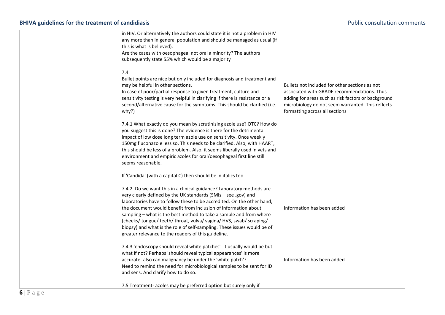## **BHIVA guidelines for the treatment of candidiasis All and Secure 2012 12:30 Secure 2013** Public consultation comments

|  | in HIV. Or alternatively the authors could state it is not a problem in HIV<br>any more than in general population and should be managed as usual (if<br>this is what is believed).<br>Are the cases with oesophageal not oral a minority? The authors<br>subsequently state 55% which would be a majority                                                                                                                                                                                                                                                   |                                                                                                                                                                                                                                             |
|--|--------------------------------------------------------------------------------------------------------------------------------------------------------------------------------------------------------------------------------------------------------------------------------------------------------------------------------------------------------------------------------------------------------------------------------------------------------------------------------------------------------------------------------------------------------------|---------------------------------------------------------------------------------------------------------------------------------------------------------------------------------------------------------------------------------------------|
|  | 7.4<br>Bullet points are nice but only included for diagnosis and treatment and<br>may be helpful in other sections.<br>In case of poor/partial response to given treatment, culture and<br>sensitivity testing is very helpful in clarifying if there is resistance or a<br>second/alternative cause for the symptoms. This should be clarified (i.e.<br>why?)                                                                                                                                                                                              | Bullets not included for other sections as not<br>associated with GRADE recommendations. Thus<br>adding for areas such as risk factors or background<br>microbiology do not seem warranted. This reflects<br>formatting across all sections |
|  | 7.4.1 What exactly do you mean by scrutinising azole use? OTC? How do<br>you suggest this is done? The evidence is there for the detrimental<br>impact of low dose long term azole use on sensitivity. Once weekly<br>150mg fluconazole less so. This needs to be clarified. Also, with HAART,<br>this should be less of a problem. Also, it seems liberally used in vets and<br>environment and empiric azoles for oral/oesophageal first line still<br>seems reasonable.                                                                                   |                                                                                                                                                                                                                                             |
|  | If 'Candida' (with a capital C) then should be in italics too                                                                                                                                                                                                                                                                                                                                                                                                                                                                                                |                                                                                                                                                                                                                                             |
|  | 7.4.2. Do we want this in a clinical guidance? Laboratory methods are<br>very clearly defined by the UK standards (SMIs - see .gov) and<br>laboratories have to follow these to be accredited. On the other hand,<br>the document would benefit from inclusion of information about<br>sampling - what is the best method to take a sample and from where<br>(cheeks/tongue/teeth/throat, vulva/vagina/HVS, swab/scraping/<br>biopsy) and what is the role of self-sampling. These issues would be of<br>greater relevance to the readers of this guideline. | Information has been added                                                                                                                                                                                                                  |
|  | 7.4.3 'endoscopy should reveal white patches'- it usually would be but<br>what if not? Perhaps 'should reveal typical appearances' is more<br>accurate- also can malignancy be under the 'white patch'?<br>Need to remind the need for microbiological samples to be sent for ID<br>and sens. And clarify how to do so.                                                                                                                                                                                                                                      | Information has been added                                                                                                                                                                                                                  |
|  | 7.5 Treatment- azoles may be preferred option but surely only if                                                                                                                                                                                                                                                                                                                                                                                                                                                                                             |                                                                                                                                                                                                                                             |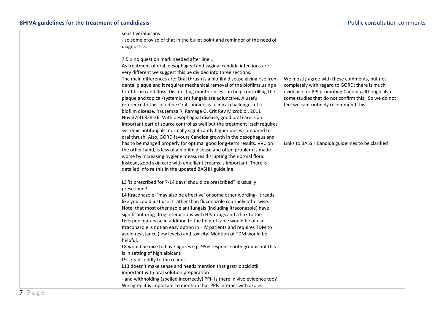## **BHIVA guidelines for the treatment of candidiasis All and Secure 2012 12:30 Secure 2013** Public consultation comments

|  | sensitive/albicans                                                          |                                                     |
|--|-----------------------------------------------------------------------------|-----------------------------------------------------|
|  | - so some proviso of that in the bullet point and reminder of the need of   |                                                     |
|  | diagnostics.                                                                |                                                     |
|  |                                                                             |                                                     |
|  | 7.5.1 no question mark needed after line 1                                  |                                                     |
|  | As treatment of oral, oesophageal and vaginal candida infections are        |                                                     |
|  | very different we suggest this be divided into three sections.              |                                                     |
|  | The main differences are: Oral thrush is a biofilm disease giving rise from | We mostly agree with these comments, but not        |
|  | dental plaque and it requires mechanical removal of the biofilms using a    | completely with regard to GORD; there is much       |
|  | toothbrush and floss. Disinfecting mouth rinses can help controlling the    | evidence for PPI promoting Candida although also    |
|  | plaque and topical/systemic antifungals are adjunctive. A useful            | some studies that do not confirm this. So we do not |
|  | reference to this could be Oral candidosis--clinical challenges of a        | feel we can routinely recommend this                |
|  | biofilm disease. Rautemaa R, Ramage G. Crit Rev Microbiol. 2011             |                                                     |
|  | Nov;37(4):328-36. With oesophageal disease, good oral care is an            |                                                     |
|  | important part of source control as well but the treatment itself requires  |                                                     |
|  |                                                                             |                                                     |
|  | systemic antifungals, normally significantly higher doses compared to       |                                                     |
|  | oral thrush. Also, GORD favours Candida growth in the oesophagus and        |                                                     |
|  | has to be manged properly for optimal good long-term results. VVC on        | Links to BASSH Candida guidelines to be clarified   |
|  | the other hand, is less of a biofilm disease and often problem is made      |                                                     |
|  | worse by increasing hygiene measures disrupting the normal flora.           |                                                     |
|  | Instead, good skin care with emollient creams is important. There is        |                                                     |
|  | detailed info re this in the updated BASHH guideline.                       |                                                     |
|  | L3 'is prescribed for 7-14 days' should be prescribed? Is usually           |                                                     |
|  | prescribed?                                                                 |                                                     |
|  | L4 itraconazole- 'may also be effective' or some other wording- it reads    |                                                     |
|  | like you could just use it rather than fluconazole routinely otherwise.     |                                                     |
|  | Note, that most other azole antifungals (including itraconazole) have       |                                                     |
|  | significant drug-drug interactions with HIV drugs and a link to the         |                                                     |
|  | Liverpool database in addition to the helpful table would be of use.        |                                                     |
|  | Itraconazole is not an easy option in HIV patients and requires TDM to      |                                                     |
|  | avoid resistance (low levels) and toxicity. Mention of TDM would be         |                                                     |
|  | helpful.                                                                    |                                                     |
|  |                                                                             |                                                     |
|  | L8 would be nice to have figures e.g. 95% response both groups but this     |                                                     |
|  | is in setting of high albicans                                              |                                                     |
|  | L9 - reads oddly to the reader                                              |                                                     |
|  | L13 doesn't make sense and needs mention that gastric acid still            |                                                     |
|  | important with oral solution preparation                                    |                                                     |
|  | - and withholding (spelled incorrectly) PPI- Is there in vivo evidence too? |                                                     |
|  | We agree it is important to mention that PPIs interact with azoles          |                                                     |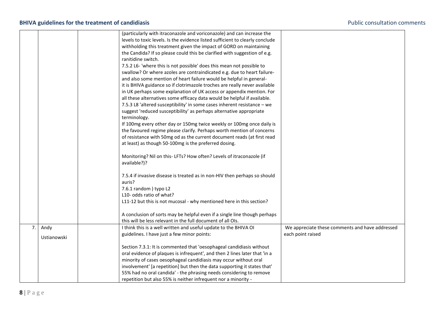<span id="page-8-0"></span>

|    |             | (particularly with itraconazole and voriconazole) and can increase the               |                                                 |
|----|-------------|--------------------------------------------------------------------------------------|-------------------------------------------------|
|    |             | levels to toxic levels. Is the evidence listed sufficient to clearly conclude        |                                                 |
|    |             | withholding this treatment given the impact of GORD on maintaining                   |                                                 |
|    |             | the Candida? If so please could this be clarified with suggestion of e.g.            |                                                 |
|    |             | ranitidine switch.                                                                   |                                                 |
|    |             | 7.5.2 L6- 'where this is not possible' does this mean not possible to                |                                                 |
|    |             | swallow? Or where azoles are contraindicated e.g. due to heart failure-              |                                                 |
|    |             | and also some mention of heart failure would be helpful in general-                  |                                                 |
|    |             | it is BHIVA guidance so if clotrimazole troches are really never available           |                                                 |
|    |             | in UK perhaps some explanation of UK access or appendix mention. For                 |                                                 |
|    |             | all these alternatives some efficacy data would be helpful if available.             |                                                 |
|    |             | 7.5.3 L8 'altered susceptibility' in some cases inherent resistance - we             |                                                 |
|    |             | suggest 'reduced susceptibility' as perhaps alternative appropriate                  |                                                 |
|    |             | terminology.                                                                         |                                                 |
|    |             | If 100mg every other day or 150mg twice weekly or 100mg once daily is                |                                                 |
|    |             | the favoured regime please clarify. Perhaps worth mention of concerns                |                                                 |
|    |             | of resistance with 50mg od as the current document reads (at first read              |                                                 |
|    |             | at least) as though 50-100mg is the preferred dosing.                                |                                                 |
|    |             | Monitoring? Nil on this- LFTs? How often? Levels of itraconazole (if<br>available?)? |                                                 |
|    |             | 7.5.4 if invasive disease is treated as in non-HIV then perhaps so should            |                                                 |
|    |             | auris?                                                                               |                                                 |
|    |             | 7.6.1 random) typo L2                                                                |                                                 |
|    |             | L10- odds ratio of what?                                                             |                                                 |
|    |             | L11-12 but this is not mucosal - why mentioned here in this section?                 |                                                 |
|    |             | A conclusion of sorts may be helpful even if a single line though perhaps            |                                                 |
|    |             | this will be less relevant in the full document of all OIs.                          |                                                 |
| 7. | Andy        | I think this is a well written and useful update to the BHIVA OI                     | We appreciate these comments and have addressed |
|    | Ustianowski | guidelines. I have just a few minor points:                                          | each point raised                               |
|    |             |                                                                                      |                                                 |
|    |             | Section 7.3.1: It is commented that 'oesophageal candidiasis without                 |                                                 |
|    |             | oral evidence of plaques is infrequent', and then 2 lines later that 'in a           |                                                 |
|    |             | minority of cases oesophageal candidiasis may occur without oral                     |                                                 |
|    |             | involvement' [a repetition] but then the data supporting it states that'             |                                                 |
|    |             | 55% had no oral candida' - the phrasing needs considering to remove                  |                                                 |
|    |             | repetition but also 55% is neither infrequent nor a minority -                       |                                                 |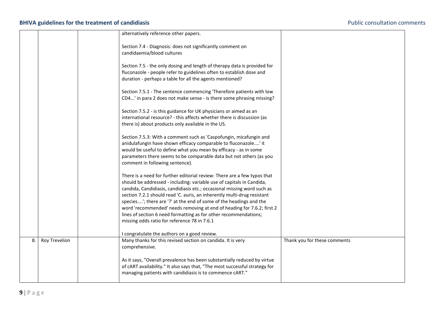#### **BHIVA guidelines for the treatment of candidiasis All and the set of candidiasis** Public consultation comments

<span id="page-9-0"></span>

|    |                      | alternatively reference other papers.                                                                                                                                                                                                                                                                                                                                                                                                                                                                                                                                       |                              |
|----|----------------------|-----------------------------------------------------------------------------------------------------------------------------------------------------------------------------------------------------------------------------------------------------------------------------------------------------------------------------------------------------------------------------------------------------------------------------------------------------------------------------------------------------------------------------------------------------------------------------|------------------------------|
|    |                      | Section 7.4 - Diagnosis: does not significantly comment on<br>candidaemia/blood cultures                                                                                                                                                                                                                                                                                                                                                                                                                                                                                    |                              |
|    |                      | Section 7.5 - the only dosing and length of therapy data is provided for<br>fluconazole - people refer to guidelines often to establish dose and<br>duration - perhaps a table for all the agents mentioned?                                                                                                                                                                                                                                                                                                                                                                |                              |
|    |                      | Section 7.5.1 - The sentence commencing 'Therefore patients with low<br>CD4' in para 2 does not make sense - is there some phrasing missing?                                                                                                                                                                                                                                                                                                                                                                                                                                |                              |
|    |                      | Section 7.5.2 - is this guidance for UK physicians or aimed as an<br>international resource? - this affects whether there is discussion (as<br>there is) about products only available in the US.                                                                                                                                                                                                                                                                                                                                                                           |                              |
|    |                      | Section 7.5.3: With a comment such as 'Caspofungin, micafungin and<br>anidulafungin have shown efficacy comparable to fluconazole' it<br>would be useful to define what you mean by efficacy - as in some<br>parameters there seems to be comparable data but not others (as you<br>comment in following sentence).                                                                                                                                                                                                                                                         |                              |
|    |                      | There is a need for further editorial review: There are a few typos that<br>should be addressed - including: variable use of capitals in Candida,<br>candida, Candidiasis, candidiasis etc.; occasional missing word such as<br>section 7.2.1 should read 'C. auris, an inherently multi-drug resistant<br>species'; there are '?' at the end of some of the headings and the<br>word 'recommended' needs removing at end of heading for 7.6.2; first 2<br>lines of section 6 need formatting as for other recommendations;<br>missing odds ratio for reference 78 in 7.6.1 |                              |
|    |                      | I congratulate the authors on a good review.                                                                                                                                                                                                                                                                                                                                                                                                                                                                                                                                |                              |
| 8. | <b>Roy Trevelion</b> | Many thanks for this revised section on candida. It is very<br>comprehensive.                                                                                                                                                                                                                                                                                                                                                                                                                                                                                               | Thank you for these comments |
|    |                      | As it says, "Overall prevalence has been substantially reduced by virtue<br>of cART availability." It also says that, "The most successful strategy for<br>managing patients with candidiasis is to commence cART."                                                                                                                                                                                                                                                                                                                                                         |                              |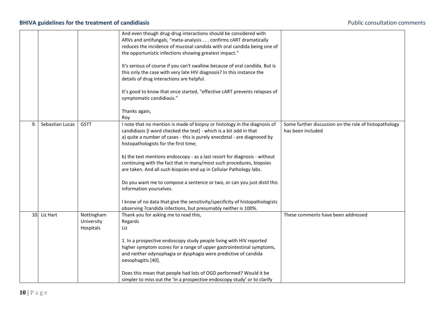<span id="page-10-1"></span><span id="page-10-0"></span>

|    |                 |                                       | And even though drug-drug interactions should be considered with<br>ARVs and antifungals, "meta-analysis confirms cART dramatically<br>reduces the incidence of mucosal candida with oral candida being one of<br>the opportunistic infections showing greatest impact."<br>It's serious of course if you can't swallow because of oral candida. But is<br>this only the case with very late HIV diagnosis? In this instance the<br>details of drug interactions are helpful.<br>It's good to know that once started, "effective cART prevents relapses of<br>symptomatic candidiasis."<br>Thanks again,<br>Roy                                                                                                                                           |                                                                            |
|----|-----------------|---------------------------------------|-----------------------------------------------------------------------------------------------------------------------------------------------------------------------------------------------------------------------------------------------------------------------------------------------------------------------------------------------------------------------------------------------------------------------------------------------------------------------------------------------------------------------------------------------------------------------------------------------------------------------------------------------------------------------------------------------------------------------------------------------------------|----------------------------------------------------------------------------|
| 9. | Sebastian Lucas | <b>GSTT</b>                           | I note that no mention is made of biopsy or histology in the diagnosis of<br>candidiasis [I word checked the text] - which is a bit odd in that<br>a) quite a number of cases - this is purely anecdotal - are diagnosed by<br>histopathologists for the first time;<br>b) the text mentions endoscopy - as a last resort for diagnosis - without<br>continuing with the fact that in many/most such procedures, biopsies<br>are taken. And all such biopsies end up in Cellular Pathology labs.<br>Do you want me to compose a sentence or two, or can you just distil this<br>information yourselves.<br>I know of no data that give the sensitivity/specificity of histopathologists<br>observing ?candida infections, but presumably neither is 100%. | Some further discussion on the role of histopathology<br>has been included |
|    | 10. Liz Hart    | Nottingham<br>University<br>Hospitals | Thank you for asking me to read this,<br>Regards<br>Liz<br>1. In a prospective endoscopy study people living with HIV reported<br>higher symptom scores for a range of upper gastrointestinal symptoms,<br>and neither odynophagia or dysphagia were predictive of candida<br>oesophagitis [40].<br>Does this mean that people had lots of OGD performed? Would it be<br>simpler to miss out the 'In a prospective endoscopy study' or to clarify                                                                                                                                                                                                                                                                                                         | These comments have been addressed                                         |